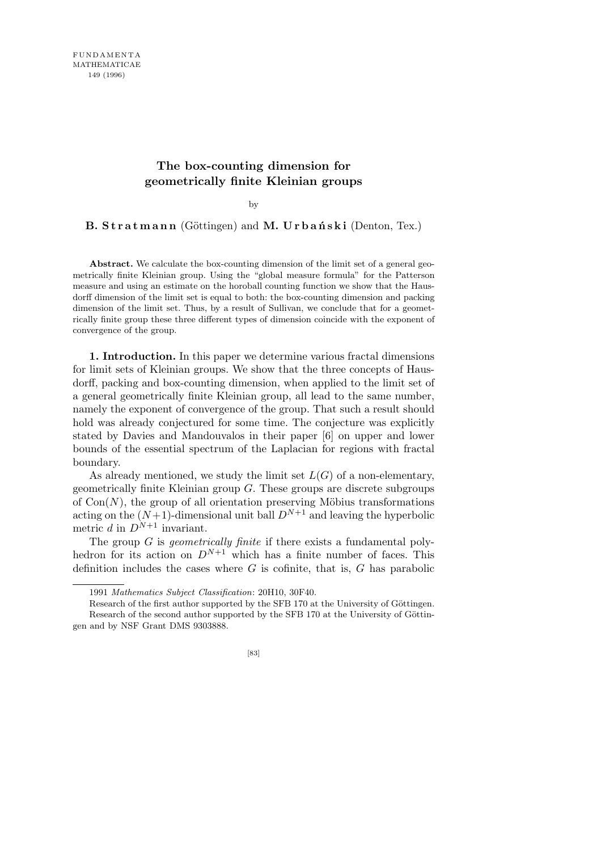## **The box-counting dimension for geometrically finite Kleinian groups**

by

**B. Stratmann** (Göttingen) and **M. Urbański** (Denton, Tex.)

**Abstract.** We calculate the box-counting dimension of the limit set of a general geometrically finite Kleinian group. Using the "global measure formula" for the Patterson measure and using an estimate on the horoball counting function we show that the Hausdorff dimension of the limit set is equal to both: the box-counting dimension and packing dimension of the limit set. Thus, by a result of Sullivan, we conclude that for a geometrically finite group these three different types of dimension coincide with the exponent of convergence of the group.

**1. Introduction.** In this paper we determine various fractal dimensions for limit sets of Kleinian groups. We show that the three concepts of Hausdorff, packing and box-counting dimension, when applied to the limit set of a general geometrically finite Kleinian group, all lead to the same number, namely the exponent of convergence of the group. That such a result should hold was already conjectured for some time. The conjecture was explicitly stated by Davies and Mandouvalos in their paper [6] on upper and lower bounds of the essential spectrum of the Laplacian for regions with fractal boundary.

As already mentioned, we study the limit set  $L(G)$  of a non-elementary, geometrically finite Kleinian group *G*. These groups are discrete subgroups of  $Con(N)$ , the group of all orientation preserving Möbius transformations acting on the  $(N+1)$ -dimensional unit ball  $D^{N+1}$  and leaving the hyperbolic metric *d* in  $D^{N+1}$  invariant.

The group *G* is *geometrically finite* if there exists a fundamental polyhedron for its action on  $D^{N+1}$  which has a finite number of faces. This definition includes the cases where *G* is cofinite, that is, *G* has parabolic

<sup>1991</sup> *Mathematics Subject Classification*: 20H10, 30F40.

Research of the first author supported by the SFB 170 at the University of Göttingen. Research of the second author supported by the SFB 170 at the University of Göttingen and by NSF Grant DMS 9303888.

<sup>[83]</sup>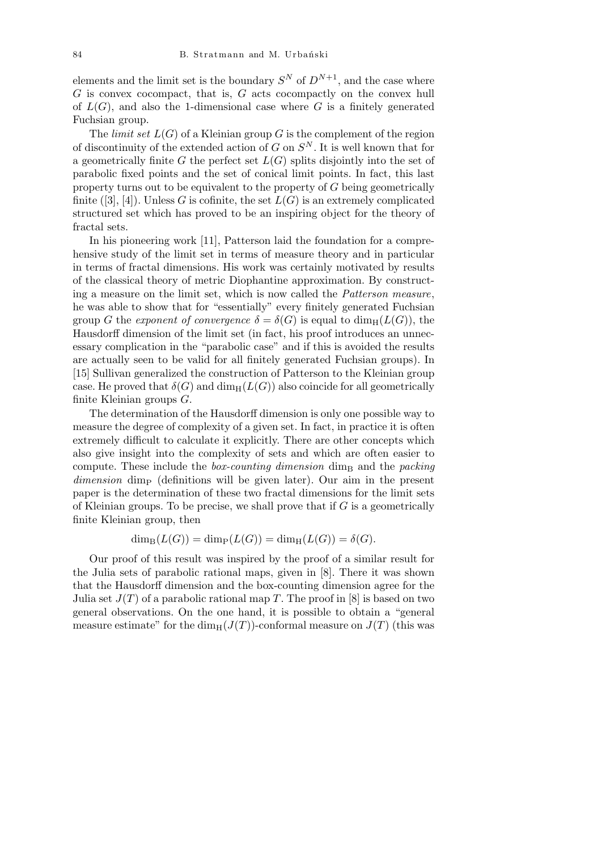elements and the limit set is the boundary  $S^N$  of  $D^{N+1}$ , and the case where *G* is convex cocompact, that is, *G* acts cocompactly on the convex hull of  $L(G)$ , and also the 1-dimensional case where G is a finitely generated Fuchsian group.

The *limit set*  $L(G)$  of a Kleinian group *G* is the complement of the region of discontinuity of the extended action of *G* on *S <sup>N</sup>* . It is well known that for a geometrically finite *G* the perfect set  $L(G)$  splits disjointly into the set of parabolic fixed points and the set of conical limit points. In fact, this last property turns out to be equivalent to the property of *G* being geometrically finite  $([3], [4])$ . Unless *G* is cofinite, the set  $L(G)$  is an extremely complicated structured set which has proved to be an inspiring object for the theory of fractal sets.

In his pioneering work [11], Patterson laid the foundation for a comprehensive study of the limit set in terms of measure theory and in particular in terms of fractal dimensions. His work was certainly motivated by results of the classical theory of metric Diophantine approximation. By constructing a measure on the limit set, which is now called the *Patterson measure*, he was able to show that for "essentially" every finitely generated Fuchsian group *G* the *exponent of convergence*  $\delta = \delta(G)$  is equal to  $\dim_{\rm H}(L(G))$ , the Hausdorff dimension of the limit set (in fact, his proof introduces an unnecessary complication in the "parabolic case" and if this is avoided the results are actually seen to be valid for all finitely generated Fuchsian groups). In [15] Sullivan generalized the construction of Patterson to the Kleinian group case. He proved that  $\delta(G)$  and  $\dim_{\rm H}(L(G))$  also coincide for all geometrically finite Kleinian groups *G*.

The determination of the Hausdorff dimension is only one possible way to measure the degree of complexity of a given set. In fact, in practice it is often extremely difficult to calculate it explicitly. There are other concepts which also give insight into the complexity of sets and which are often easier to compute. These include the *box-counting dimension* dim<sub>B</sub> and the *packing dimension* dimp (definitions will be given later). Our aim in the present paper is the determination of these two fractal dimensions for the limit sets of Kleinian groups. To be precise, we shall prove that if *G* is a geometrically finite Kleinian group, then

$$
\dim_{\mathrm{B}}(L(G)) = \dim_{\mathrm{P}}(L(G)) = \dim_{\mathrm{H}}(L(G)) = \delta(G).
$$

Our proof of this result was inspired by the proof of a similar result for the Julia sets of parabolic rational maps, given in [8]. There it was shown that the Hausdorff dimension and the box-counting dimension agree for the Julia set  $J(T)$  of a parabolic rational map T. The proof in [8] is based on two general observations. On the one hand, it is possible to obtain a "general measure estimate" for the  $\dim_H(J(T))$ -conformal measure on  $J(T)$  (this was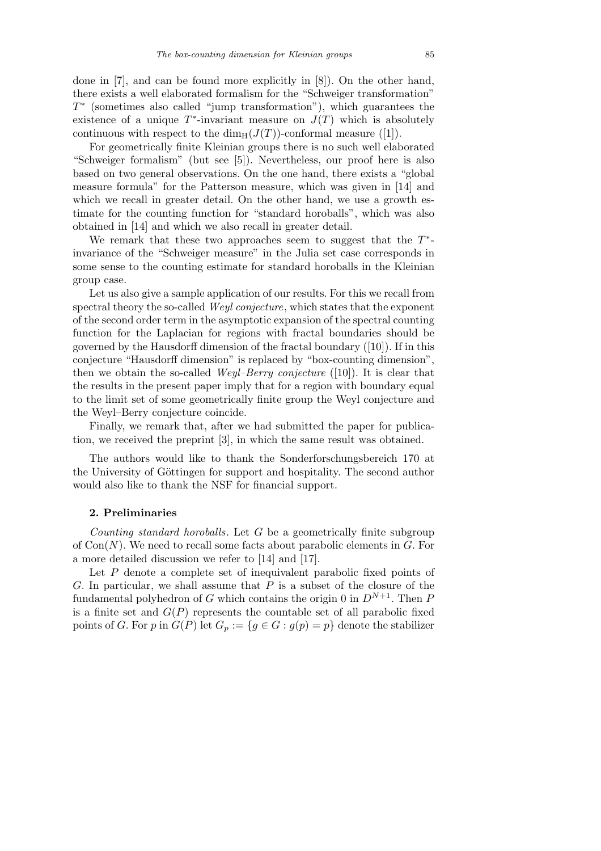done in [7], and can be found more explicitly in [8]). On the other hand, there exists a well elaborated formalism for the "Schweiger transformation" *T ∗* (sometimes also called "jump transformation"), which guarantees the existence of a unique  $T^*$ -invariant measure on  $J(T)$  which is absolutely continuous with respect to the  $\dim_{\mathrm{H}}(J(T))$ -conformal measure ([1]).

For geometrically finite Kleinian groups there is no such well elaborated "Schweiger formalism" (but see [5]). Nevertheless, our proof here is also based on two general observations. On the one hand, there exists a "global measure formula" for the Patterson measure, which was given in [14] and which we recall in greater detail. On the other hand, we use a growth estimate for the counting function for "standard horoballs", which was also obtained in [14] and which we also recall in greater detail.

We remark that these two approaches seem to suggest that the *T ∗* invariance of the "Schweiger measure" in the Julia set case corresponds in some sense to the counting estimate for standard horoballs in the Kleinian group case.

Let us also give a sample application of our results. For this we recall from spectral theory the so-called *Weyl conjecture*, which states that the exponent of the second order term in the asymptotic expansion of the spectral counting function for the Laplacian for regions with fractal boundaries should be governed by the Hausdorff dimension of the fractal boundary ([10]). If in this conjecture "Hausdorff dimension" is replaced by "box-counting dimension", then we obtain the so-called *Weyl–Berry conjecture* ([10]). It is clear that the results in the present paper imply that for a region with boundary equal to the limit set of some geometrically finite group the Weyl conjecture and the Weyl–Berry conjecture coincide.

Finally, we remark that, after we had submitted the paper for publication, we received the preprint [3], in which the same result was obtained.

The authors would like to thank the Sonderforschungsbereich 170 at the University of Göttingen for support and hospitality. The second author would also like to thank the NSF for financial support.

## **2. Preliminaries**

*Counting standard horoballs*. Let *G* be a geometrically finite subgroup of Con(*N*). We need to recall some facts about parabolic elements in *G*. For a more detailed discussion we refer to [14] and [17].

Let *P* denote a complete set of inequivalent parabolic fixed points of *G*. In particular, we shall assume that *P* is a subset of the closure of the fundamental polyhedron of *G* which contains the origin 0 in  $D^{N+1}$ . Then *P* is a finite set and  $G(P)$  represents the countable set of all parabolic fixed points of *G*. For *p* in  $G(P)$  let  $G_p := \{ g \in G : g(p) = p \}$  denote the stabilizer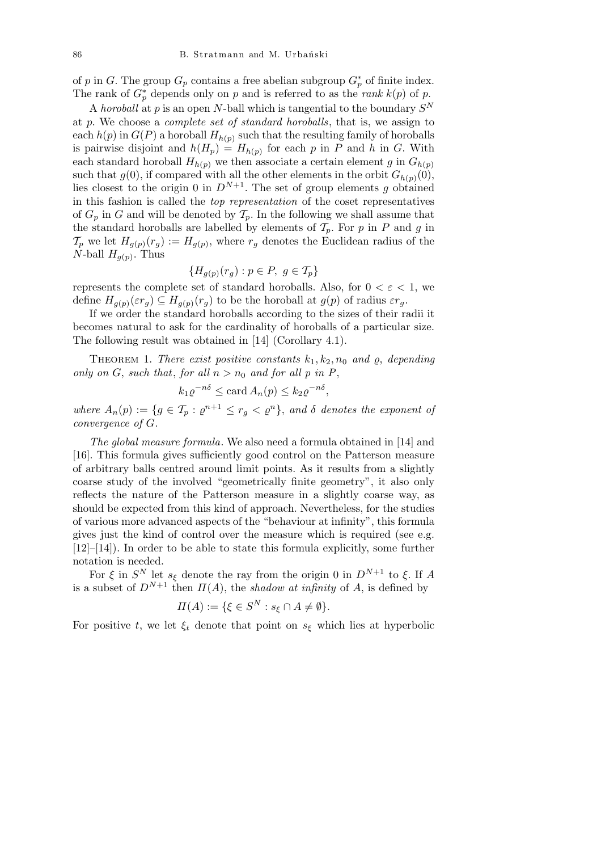of *p* in *G*. The group  $G_p$  contains a free abelian subgroup  $G_p^*$  of finite index. The rank of  $G_p^*$  depends only on *p* and is referred to as the *rank*  $k(p)$  of *p*.

A *horoball* at *p* is an open *N*-ball which is tangential to the boundary *S N* at *p*. We choose a *complete set of standard horoballs*, that is, we assign to each  $h(p)$  in  $G(P)$  a horoball  $H_{h(p)}$  such that the resulting family of horoballs is pairwise disjoint and  $h(H_p) = H_{h(p)}$  for each *p* in *P* and *h* in *G*. With each standard horoball  $H_{h(p)}$  we then associate a certain element *g* in  $G_{h(p)}$ such that  $g(0)$ , if compared with all the other elements in the orbit  $G_{h(p)}(0)$ , lies closest to the origin 0 in  $D^{N+1}$ . The set of group elements *g* obtained in this fashion is called the *top representation* of the coset representatives of  $G_p$  in  $G$  and will be denoted by  $\mathcal{T}_p$ . In the following we shall assume that the standard horoballs are labelled by elements of  $\mathcal{T}_p$ . For *p* in *P* and *g* in  $\mathcal{T}_p$  we let  $H_{g(p)}(r_g) := H_{g(p)}$ , where  $r_g$  denotes the Euclidean radius of the *N*-ball  $H_{g(p)}$ . Thus

$$
\{H_{g(p)}(r_g) : p \in P, g \in \mathcal{T}_p\}
$$

represents the complete set of standard horoballs. Also, for  $0 < \varepsilon < 1$ , we define  $H_{g(p)}(\varepsilon r_g) \subseteq H_{g(p)}(r_g)$  to be the horoball at  $g(p)$  of radius  $\varepsilon r_g$ .

If we order the standard horoballs according to the sizes of their radii it becomes natural to ask for the cardinality of horoballs of a particular size. The following result was obtained in [14] (Corollary 4.1).

THEOREM 1. *There exist positive constants*  $k_1, k_2, n_0$  *and*  $\rho$ *, depending only on*  $G$ , *such that*, *for all*  $n > n_0$  *and for all*  $p$  *in*  $P$ ,

$$
k_1 \varrho^{-n\delta} \le \operatorname{card} A_n(p) \le k_2 \varrho^{-n\delta},
$$

*where*  $A_n(p) := \{ g \in \mathcal{T}_p : \varrho^{n+1} \leq r_g < \varrho^n \}$ , and  $\delta$  denotes the exponent of *convergence of G.*

*The global measure formula*. We also need a formula obtained in [14] and [16]. This formula gives sufficiently good control on the Patterson measure of arbitrary balls centred around limit points. As it results from a slightly coarse study of the involved "geometrically finite geometry", it also only reflects the nature of the Patterson measure in a slightly coarse way, as should be expected from this kind of approach. Nevertheless, for the studies of various more advanced aspects of the "behaviour at infinity", this formula gives just the kind of control over the measure which is required (see e.g. [12]–[14]). In order to be able to state this formula explicitly, some further notation is needed.

For  $\xi$  in  $S^N$  let  $s_{\xi}$  denote the ray from the origin 0 in  $D^{N+1}$  to  $\xi$ . If A is a subset of  $D^{N+1}$  then  $\Pi(A)$ , the *shadow at infinity* of *A*, is defined by

$$
\Pi(A) := \{ \xi \in S^N : s_{\xi} \cap A \neq \emptyset \}.
$$

For positive *t*, we let  $\xi_t$  denote that point on  $s_{\xi}$  which lies at hyperbolic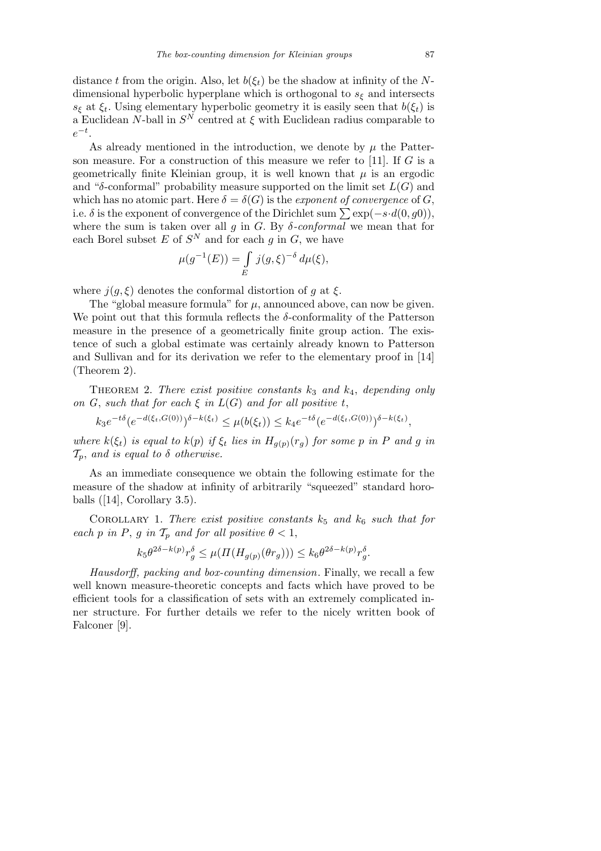distance *t* from the origin. Also, let  $b(\xi_t)$  be the shadow at infinity of the *N*dimensional hyperbolic hyperplane which is orthogonal to *s<sup>ξ</sup>* and intersects *s*<sub>ξ</sub> at  $\xi$ <sup>*t*</sup>. Using elementary hyperbolic geometry it is easily seen that *b*( $\xi$ <sup>*t*</sup>) is a Euclidean *N*-ball in  $S^N$  centred at  $\xi$  with Euclidean radius comparable to *e −t* .

As already mentioned in the introduction, we denote by  $\mu$  the Patterson measure. For a construction of this measure we refer to [11]. If *G* is a geometrically finite Kleinian group, it is well known that  $\mu$  is an ergodic and " $\delta$ -conformal" probability measure supported on the limit set  $L(G)$  and which has no atomic part. Here  $\delta = \delta(G)$  is the *exponent of convergence* of *G*, i.e.  $\delta$  is the exponent of convergence of the Dirichlet sum  $\sum \exp(-s \cdot d(0, g0))$ , where the sum is taken over all  $g$  in  $G$ . By  $\delta$ -conformal we mean that for each Borel subset *E* of  $S^N$  and for each *g* in *G*, we have<br>  $\mu(g^{-1}(E)) = \int j(g,\xi)^{-\delta} d\mu(\xi),$ 

$$
\mu(g^{-1}(E)) = \int_{E} j(g,\xi)^{-\delta} d\mu(\xi),
$$

where  $j(g, \xi)$  denotes the conformal distortion of *g* at  $\xi$ .

The "global measure formula" for  $\mu$ , announced above, can now be given. We point out that this formula reflects the *δ*-conformality of the Patterson measure in the presence of a geometrically finite group action. The existence of such a global estimate was certainly already known to Patterson and Sullivan and for its derivation we refer to the elementary proof in [14] (Theorem 2).

THEOREM 2. *There exist positive constants*  $k_3$  *and*  $k_4$ *, depending only on G*, *such that for each*  $\xi$  *in*  $L(G)$  *and for all positive t*,

 $k_3 e^{-t\delta} (e^{-d(\xi_t, G(0))})^{\delta - k(\xi_t)} \le \mu(b(\xi_t)) \le k_4 e^{-t\delta} (e^{-d(\xi_t, G(0))})^{\delta - k(\xi_t)},$ 

where  $k(\xi_t)$  is equal to  $k(p)$  if  $\xi_t$  lies in  $H_{g(p)}(r_g)$  for some p in P and g in *Tp*, *and is equal to δ otherwise.*

As an immediate consequence we obtain the following estimate for the measure of the shadow at infinity of arbitrarily "squeezed" standard horoballs  $([14], Corollary 3.5)$ .

COROLLARY 1. *There exist positive constants*  $k_5$  *and*  $k_6$  *such that for each p in P*, *g in*  $\mathcal{T}_p$  *and for all positive*  $\theta < 1$ ,

$$
k_5\theta^{2\delta - k(p)}r_g^{\delta} \le \mu(\Pi(H_{g(p)}(\theta r_g))) \le k_6\theta^{2\delta - k(p)}r_g^{\delta}.
$$

*Hausdorff, packing and box-counting dimension*. Finally, we recall a few well known measure-theoretic concepts and facts which have proved to be efficient tools for a classification of sets with an extremely complicated inner structure. For further details we refer to the nicely written book of Falconer [9].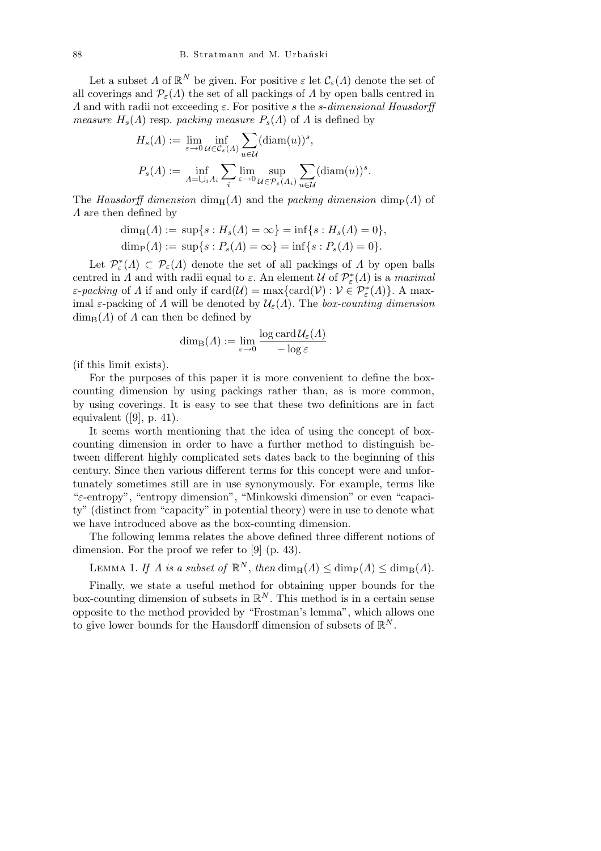Let a subset  $\Lambda$  of  $\mathbb{R}^N$  be given. For positive  $\varepsilon$  let  $\mathcal{C}_{\varepsilon}(\Lambda)$  denote the set of all coverings and  $\mathcal{P}_{\varepsilon}(\Lambda)$  the set of all packings of  $\Lambda$  by open balls centred in *Λ* and with radii not exceeding *ε*. For positive *s* the *s*-*dimensional Hausdorff measure*  $H_s(\Lambda)$  resp. *packing measure*  $P_s(\Lambda)$  of  $\Lambda$  is defined by

$$
H_s(\Lambda) := \lim_{\varepsilon \to 0} \inf_{\mathcal{U} \in \mathcal{C}_{\varepsilon}(\Lambda)} \sum_{u \in \mathcal{U}} (\text{diam}(u))^s,
$$
  

$$
P_s(\Lambda) := \inf_{\Lambda = \bigcup_i \Lambda_i} \sum_i \lim_{\varepsilon \to 0} \sup_{\mathcal{U} \in \mathcal{P}_{\varepsilon}(\Lambda_i)} \sum_{u \in \mathcal{U}} (\text{diam}(u))^s.
$$

The *Hausdorff dimension* dim<sub>H</sub>( $\Lambda$ ) and the *packing dimension* dim<sub>P</sub>( $\Lambda$ ) of *Λ* are then defined by

$$
\dim_{\mathrm{H}}(\Lambda) := \sup\{s : H_s(\Lambda) = \infty\} = \inf\{s : H_s(\Lambda) = 0\},\
$$

 $\dim_{\text{P}}(A) := \sup\{s : P_s(A) = \infty\} = \inf\{s : P_s(A) = 0\}.$ 

Let  $\mathcal{P}_{\varepsilon}^*(\Lambda) \subset \mathcal{P}_{\varepsilon}(\Lambda)$  denote the set of all packings of  $\Lambda$  by open balls centred in *Λ* and with radii equal to  $\varepsilon$ . An element *U* of  $\mathcal{P}^*_{\varepsilon}(A)$  is a *maximal ε*-*packing* of *Λ* if and only if  $card(\mathcal{U}) = max\{card(\mathcal{V}) : \mathcal{V} \in \mathcal{P}_{\varepsilon}^{*}(A)\}\)$ . A maximal  $\varepsilon$ -packing of *Λ* will be denoted by  $\mathcal{U}_{\varepsilon}(A)$ . The *box-counting dimension*  $\dim_B(A)$  of *Λ* can then be defined by

$$
\dim_{\mathrm{B}}(\Lambda) := \lim_{\varepsilon \to 0} \frac{\log \mathrm{card}\,\mathcal{U}_{\varepsilon}(\Lambda)}{-\log \varepsilon}
$$

(if this limit exists).

For the purposes of this paper it is more convenient to define the boxcounting dimension by using packings rather than, as is more common, by using coverings. It is easy to see that these two definitions are in fact equivalent  $([9], p. 41)$ .

It seems worth mentioning that the idea of using the concept of boxcounting dimension in order to have a further method to distinguish between different highly complicated sets dates back to the beginning of this century. Since then various different terms for this concept were and unfortunately sometimes still are in use synonymously. For example, terms like "*ε*-entropy", "entropy dimension", "Minkowski dimension" or even "capacity" (distinct from "capacity" in potential theory) were in use to denote what we have introduced above as the box-counting dimension.

The following lemma relates the above defined three different notions of dimension. For the proof we refer to [9] (p. 43).

LEMMA 1. *If*  $\Lambda$  *is a subset of*  $\mathbb{R}^N$ , *then*  $\dim_{\rm H}(\Lambda) \leq \dim_{\rm P}(\Lambda) \leq \dim_{\rm B}(\Lambda)$ .

Finally, we state a useful method for obtaining upper bounds for the box-counting dimension of subsets in  $\mathbb{R}^N$ . This method is in a certain sense opposite to the method provided by "Frostman's lemma", which allows one to give lower bounds for the Hausdorff dimension of subsets of  $\mathbb{R}^N$ .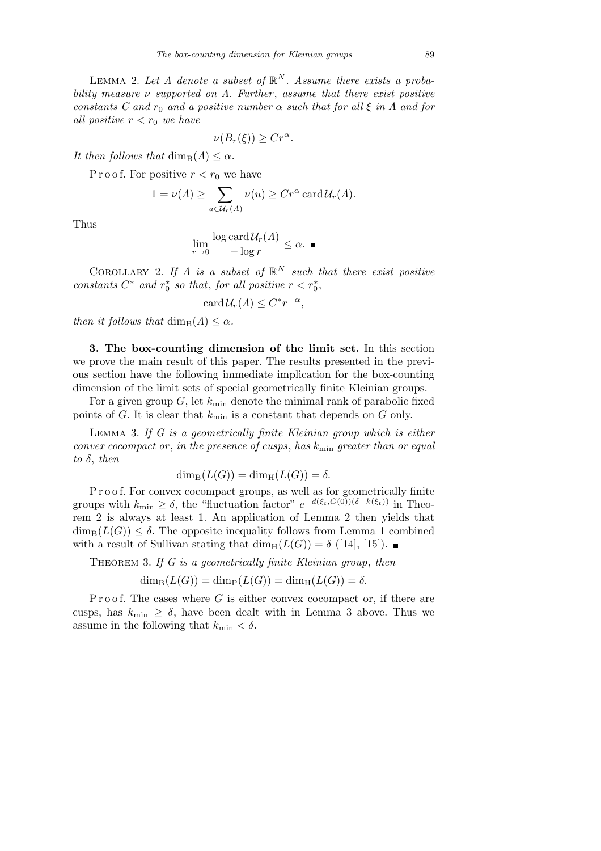LEMMA 2. Let  $\Lambda$  denote a subset of  $\mathbb{R}^N$ . Assume there exists a proba*bility measure ν supported on Λ. Further* , *assume that there exist positive constants C and r<sub>0</sub> <i>and a positive number*  $\alpha$  *such that for all*  $\xi$  *in*  $\Lambda$  *and for all positive*  $r < r_0$  *we have* 

$$
\nu(B_r(\xi)) \geq Cr^{\alpha}.
$$

*It then follows that*  $\dim_B(A) \leq \alpha$ *.* 

P r o o f. For positive  $r < r_0$  we have

$$
1 = \nu(\Lambda) \ge \sum_{u \in \mathcal{U}_r(\Lambda)} \nu(u) \ge Cr^{\alpha} \operatorname{card} \mathcal{U}_r(\Lambda).
$$

Thus

$$
\lim_{r \to 0} \frac{\log \operatorname{card} \mathcal{U}_r(A)}{-\log r} \le \alpha. \blacksquare
$$

COROLLARY 2. If  $\Lambda$  *is a subset of*  $\mathbb{R}^N$  *such that there exist positive constants*  $C^*$  *and*  $r_0^*$  *so that, for all positive*  $r < r_0^*$ ,

$$
card\mathcal{U}_r(\Lambda) \leq C^* r^{-\alpha},
$$

*then it follows that*  $\dim_B(A) \leq \alpha$ *.* 

**3. The box-counting dimension of the limit set.** In this section we prove the main result of this paper. The results presented in the previous section have the following immediate implication for the box-counting dimension of the limit sets of special geometrically finite Kleinian groups.

For a given group  $G$ , let  $k_{\text{min}}$  denote the minimal rank of parabolic fixed points of *G*. It is clear that  $k_{\text{min}}$  is a constant that depends on *G* only.

Lemma 3. *If G is a geometrically finite Kleinian group which is either convex cocompact or* , *in the presence of cusps*, *has k*min *greater than or equal to δ*, *then*

$$
\dim_{\mathrm{B}}(L(G)) = \dim_{\mathrm{H}}(L(G)) = \delta.
$$

P r o o f. For convex cocompact groups, as well as for geometrically finite groups with  $k_{\min} \geq \delta$ , the "fluctuation factor"  $e^{-d(\xi_t, G(0))(\delta - k(\xi_t))}$  in Theorem 2 is always at least 1. An application of Lemma 2 then yields that  $\dim_{\text{B}}(L(G)) \leq \delta$ . The opposite inequality follows from Lemma 1 combined with a result of Sullivan stating that  $\dim_H(L(G)) = \delta$  ([14], [15]).

Theorem 3. *If G is a geometrically finite Kleinian group*, *then*

 $\dim_{\text{B}}(L(G)) = \dim_{\text{P}}(L(G)) = \dim_{\text{H}}(L(G)) = \delta.$ 

Proof. The cases where  $G$  is either convex cocompact or, if there are cusps, has  $k_{\text{min}} \geq \delta$ , have been dealt with in Lemma 3 above. Thus we assume in the following that  $k_{\text{min}} < \delta$ .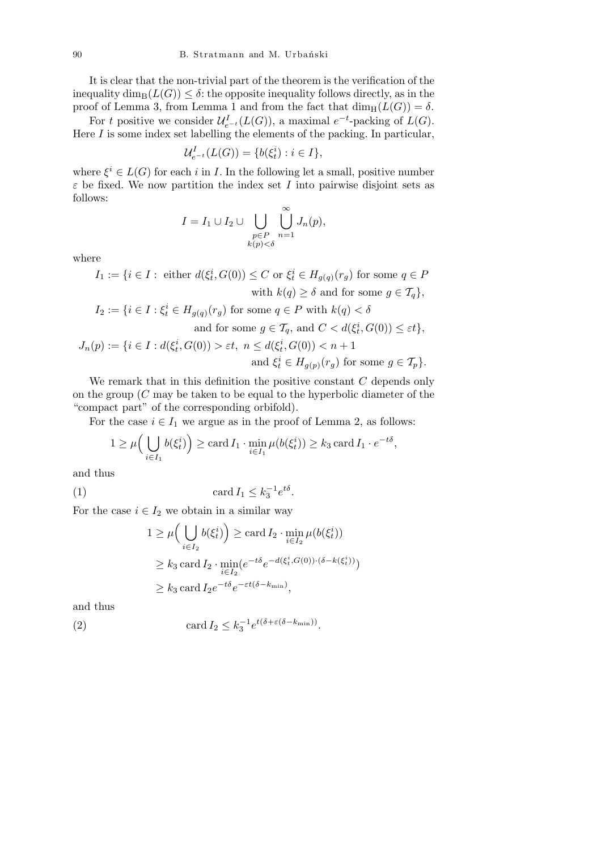It is clear that the non-trivial part of the theorem is the verification of the inequality dim<sub>B</sub> $(L(G)) \leq \delta$ : the opposite inequality follows directly, as in the proof of Lemma 3, from Lemma 1 and from the fact that  $\dim_{\rm H}(L(G)) = \delta$ .

For *t* positive we consider  $\mathcal{U}_{e^{-t}}^{I}(L(G))$ , a maximal  $e^{-t}$ -packing of  $L(G)$ . Here *I* is some index set labelling the elements of the packing. In particular,

$$
\mathcal{U}_{e^{-t}}^{I}(L(G)) = \{b(\xi_t^i) : i \in I\},\
$$

where  $\xi^i \in L(G)$  for each *i* in *I*. In the following let a small, positive number  $\varepsilon$  be fixed. We now partition the index set *I* into pairwise disjoint sets as follows:

$$
I = I_1 \cup I_2 \cup \bigcup_{\substack{p \in P \\ k(p) < \delta}} \bigcup_{n=1}^{\infty} J_n(p),
$$

where

 $I_1 := \{i \in I : \text{ either } d(\xi_t^i, G(0)) \leq C \text{ or } \xi_t^i \in H_{g(q)}(r_g) \text{ for some } q \in P\}$ with  $k(q) \geq \delta$  and for some  $q \in \mathcal{T}_q$ ,  $I_2 := \{ i \in I : \xi_t^i \in H_{g(q)}(r_g) \text{ for some } q \in P \text{ with } k(q) < \delta \}$ and for some  $g \in \mathcal{T}_q$ , and  $C < d(\xi_t^i, G(0)) \leq \varepsilon t$ ,  $J_n(p) := \{ i \in I : d(\xi_t^i, G(0)) > \varepsilon t, \ n \leq d(\xi_t^i, G(0)) < n + 1 \}$ and  $\xi_t^i \in H_{g(p)}(r_g)$  for some  $g \in \mathcal{T}_p$ .

We remark that in this definition the positive constant *C* depends only on the group (*C* may be taken to be equal to the hyperbolic diameter of the "compact part" of the corresponding orbifold).

For the case  $i \in I_1$  we argue as in the proof of Lemma 2, as follows:

$$
1 \geq \mu\Big(\bigcup_{i \in I_1} b(\xi_t^i)\Big) \geq \operatorname{card} I_1 \cdot \min_{i \in I_1} \mu(b(\xi_t^i)) \geq k_3 \operatorname{card} I_1 \cdot e^{-t\delta},
$$

and thus

$$
(1) \t\t card I_1 \leq k_3^{-1} e^{t\delta}.
$$

For the case  $i \in I_2$  we obtain in a similar way  $(1, 1, \ldots)$ 

$$
1 \ge \mu\Big(\bigcup_{i \in I_2} b(\xi_t^i)\Big) \ge \operatorname{card} I_2 \cdot \min_{i \in I_2} \mu(b(\xi_t^i))
$$
  
 
$$
\ge k_3 \operatorname{card} I_2 \cdot \min_{i \in I_2} (e^{-t\delta} e^{-d(\xi_t^i, G(0)) \cdot (\delta - k(\xi_t^i))})
$$
  
 
$$
\ge k_3 \operatorname{card} I_2 e^{-t\delta} e^{-\varepsilon t(\delta - k_{\min})},
$$

and thus

(2) 
$$
\operatorname{card} I_2 \leq k_3^{-1} e^{t(\delta + \varepsilon(\delta - k_{\min}))}.
$$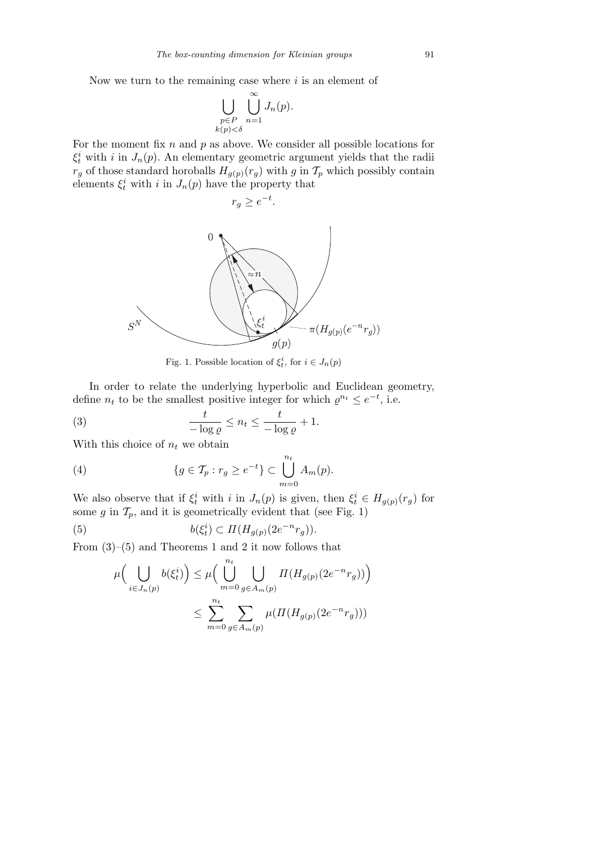Now we turn to the remaining case where *i* is an element of

$$
\bigcup_{\substack{p \in P \\ k(p) < \delta}} \bigcup_{n=1}^{\infty} J_n(p).
$$

For the moment fix *n* and *p* as above. We consider all possible locations for  $\xi_t^i$  with *i* in *J<sub>n</sub>*(*p*). An elementary geometric argument yields that the radii  $r_g$  of those standard horoballs  $H_{g(p)}(r_g)$  with *g* in  $\mathcal{T}_p$  which possibly contain elements  $\xi_t^i$  with *i* in  $J_n(p)$  have the property that



Fig. 1. Possible location of  $\xi_t^i$ , for  $i \in J_n(p)$ 

In order to relate the underlying hyperbolic and Euclidean geometry, define  $n_t$  to be the smallest positive integer for which  $\varrho^{n_t} \leq e^{-t}$ , i.e.

(3) 
$$
\frac{t}{-\log \varrho} \le n_t \le \frac{t}{-\log \varrho} + 1.
$$

With this choice of  $n_t$  we obtain

(4) 
$$
\{g \in \mathcal{T}_p : r_g \ge e^{-t}\} \subset \bigcup_{m=0}^{n_t} A_m(p).
$$

We also observe that if  $\xi_t^i$  with *i* in  $J_n(p)$  is given, then  $\xi_t^i \in H_{g(p)}(r_g)$  for some  $g$  in  $\mathcal{T}_p$ , and it is geometrically evident that (see Fig. 1)

(5) 
$$
b(\xi_t^i) \subset \Pi(H_{g(p)}(2e^{-n}r_g)).
$$

From  $(3)-(5)$  and Theorems 1 and 2 it now follows that

$$
\mu\Big(\bigcup_{i\in J_n(p)} b(\xi_t^i)\Big) \le \mu\Big(\bigcup_{m=0}^{n_t} \bigcup_{g\in A_m(p)} \Pi(H_{g(p)}(2e^{-n}r_g))\Big)
$$
  

$$
\le \sum_{m=0}^{n_t} \sum_{g\in A_m(p)} \mu(\Pi(H_{g(p)}(2e^{-n}r_g)))
$$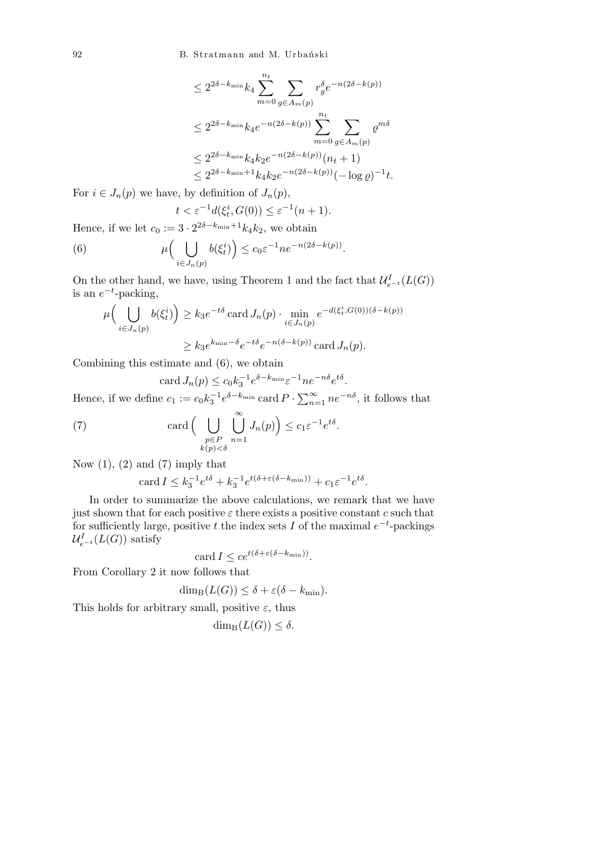92 B. Stratmann and M. Urbański

$$
\leq 2^{2\delta - k_{\min}} k_4 \sum_{m=0}^{n_t} \sum_{g \in A_m(p)} r_g^{\delta} e^{-n(2\delta - k(p))}
$$
  

$$
\leq 2^{2\delta - k_{\min}} k_4 e^{-n(2\delta - k(p))} \sum_{m=0}^{n_t} \sum_{g \in A_m(p)} e^{m\delta}
$$
  

$$
\leq 2^{2\delta - k_{\min}} k_4 k_2 e^{-n(2\delta - k(p))} (n_t + 1)
$$
  

$$
\leq 2^{2\delta - k_{\min} + 1} k_4 k_2 e^{-n(2\delta - k(p))} (-\log \varrho)^{-1} t.
$$

For  $i \in J_n(p)$  we have, by definition of  $J_n(p)$ ,

$$
t < \varepsilon^{-1} d(\xi_t^i, G(0)) \le \varepsilon^{-1} (n+1).
$$

Hence, if we let  $c_0 := 3 \cdot 2^{2\delta - k_{\min} + 1} k_4 k_2$ , we obtain

(6) 
$$
\mu\Big(\bigcup_{i\in J_n(p)} b(\xi_t^i)\Big) \leq c_0 \varepsilon^{-1} n e^{-n(2\delta - k(p))}.
$$

On the other hand, we have, using Theorem 1 and the fact that  $\mathcal{U}_{e^{-t}}^{I}(L(G))$ is an  $e^{-t}$ -packing,  $\sqrt{1}$  $\mathbf{r}$ 

$$
\mu\Big(\bigcup_{i\in J_n(p)} b(\xi_t^i)\Big) \ge k_3 e^{-t\delta} \operatorname{card} J_n(p) \cdot \min_{i\in J_n(p)} e^{-d(\xi_t^i, G(0))(\delta - k(p))}
$$

$$
\ge k_3 e^{k_{\min} - \delta} e^{-t\delta} e^{-n(\delta - k(p))} \operatorname{card} J_n(p).
$$

Combining this estimate and (6), we obtain

$$
\operatorname{card} J_n(p) \le c_0 k_3^{-1} e^{\delta - k_{\min}} \varepsilon^{-1} n e^{-n\delta} e^{t\delta}.
$$

Hence, if we define  $c_1 := c_0 k_3^{-1} e^{\delta - k_{\min}}$  card  $P \cdot \sum_{n=1}^{\infty} n e^{-n\delta}$ , it follows that

*.*

(7) 
$$
\operatorname{card} \Big( \bigcup_{\substack{p \in P \\ k(p) < \delta}} \bigcup_{n=1}^{\infty} J_n(p) \Big) \leq c_1 \varepsilon^{-1} e^{t\delta}
$$

Now  $(1)$ ,  $(2)$  and  $(7)$  imply that

$$
\operatorname{card} I \leq k_3^{-1} e^{t\delta} + k_3^{-1} e^{t(\delta + \varepsilon(\delta - k_{\min}))} + c_1 \varepsilon^{-1} e^{t\delta}.
$$

In order to summarize the above calculations, we remark that we have just shown that for each positive  $\varepsilon$  there exists a positive constant  $c$  such that for sufficiently large, positive *t* the index sets *I* of the maximal  $e^{-t}$ -packings  $\mathcal{U}_{e^{-t}}^{I}(L(G))$  satisfy

card 
$$
I \leq ce^{t(\delta + \varepsilon(\delta - k_{\min}))}
$$
.

From Corollary 2 it now follows that

$$
\dim_{\mathrm{B}}(L(G)) \leq \delta + \varepsilon(\delta - k_{\min}).
$$

This holds for arbitrary small, positive  $\varepsilon$ , thus

$$
\dim_{\mathrm{B}}(L(G)) \leq \delta.
$$